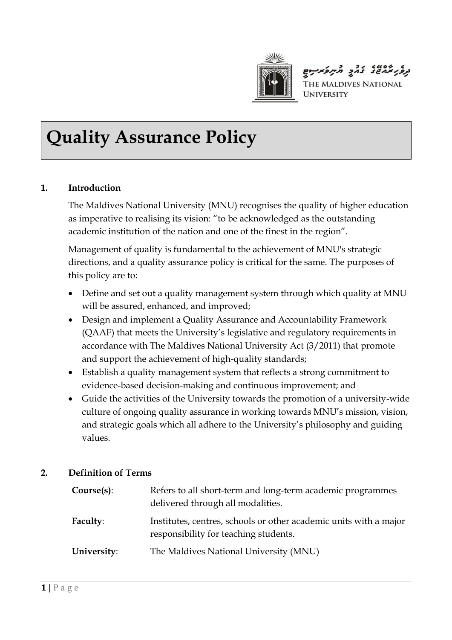

בנפני אחשו בחק תיתפאיתם THE MALDIVES NATIONAL **UNIVERSITY** 

# **Quality Assurance Policy**

## **1. Introduction**

The Maldives National University (MNU) recognises the quality of higher education as imperative to realising its vision: "to be acknowledged as the outstanding academic institution of the nation and one of the finest in the region".

Management of quality is fundamental to the achievement of MNU's strategic directions, and a quality assurance policy is critical for the same. The purposes of this policy are to:

- Define and set out a quality management system through which quality at MNU will be assured, enhanced, and improved;
- Design and implement a Quality Assurance and Accountability Framework (QAAF) that meets the University's legislative and regulatory requirements in accordance with The Maldives National University Act (3/2011) that promote and support the achievement of high-quality standards;
- Establish a quality management system that reflects a strong commitment to evidence-based decision-making and continuous improvement; and
- Guide the activities of the University towards the promotion of a university-wide culture of ongoing quality assurance in working towards MNU's mission, vision, and strategic goals which all adhere to the University's philosophy and guiding values.

### **2. Definition of Terms**

| Course(s):  | Refers to all short-term and long-term academic programmes<br>delivered through all modalities.            |
|-------------|------------------------------------------------------------------------------------------------------------|
| Faculty:    | Institutes, centres, schools or other academic units with a major<br>responsibility for teaching students. |
| University: | The Maldives National University (MNU)                                                                     |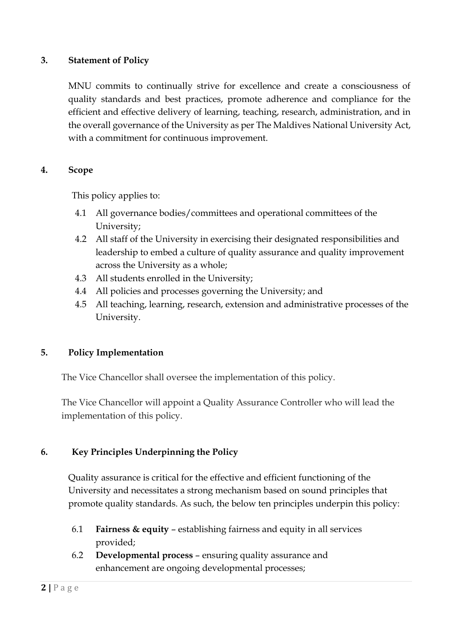### **3. Statement of Policy**

MNU commits to continually strive for excellence and create a consciousness of quality standards and best practices, promote adherence and compliance for the efficient and effective delivery of learning, teaching, research, administration, and in the overall governance of the University as per The Maldives National University Act, with a commitment for continuous improvement.

#### **4. Scope**

This policy applies to:

- 4.1 All governance bodies/committees and operational committees of the University;
- 4.2 All staff of the University in exercising their designated responsibilities and leadership to embed a culture of quality assurance and quality improvement across the University as a whole;
- 4.3 All students enrolled in the University;
- 4.4 All policies and processes governing the University; and
- 4.5 All teaching, learning, research, extension and administrative processes of the University.

### **5. Policy Implementation**

The Vice Chancellor shall oversee the implementation of this policy.

The Vice Chancellor will appoint a Quality Assurance Controller who will lead the implementation of this policy.

### **6. Key Principles Underpinning the Policy**

Quality assurance is critical for the effective and efficient functioning of the University and necessitates a strong mechanism based on sound principles that promote quality standards. As such, the below ten principles underpin this policy:

- 6.1 **Fairness & equity** establishing fairness and equity in all services provided;
- 6.2 **Developmental process** ensuring quality assurance and enhancement are ongoing developmental processes;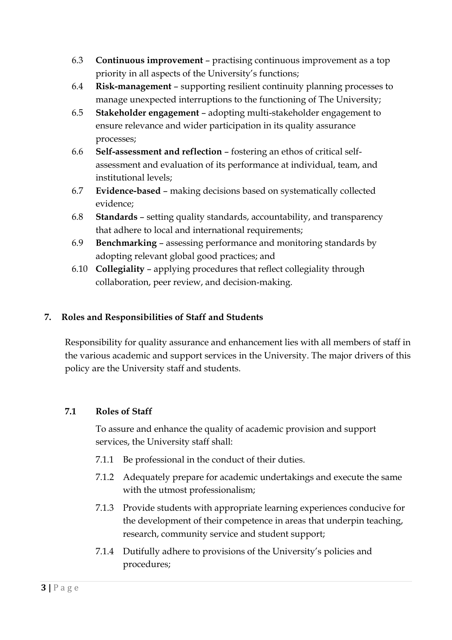- 6.3 **Continuous improvement** practising continuous improvement as a top priority in all aspects of the University's functions;
- 6.4 **Risk-management** supporting resilient continuity planning processes to manage unexpected interruptions to the functioning of The University;
- 6.5 **Stakeholder engagement** adopting multi-stakeholder engagement to ensure relevance and wider participation in its quality assurance processes;
- 6.6 **Self-assessment and reflection** fostering an ethos of critical selfassessment and evaluation of its performance at individual, team, and institutional levels;
- 6.7 **Evidence-based** making decisions based on systematically collected evidence;
- 6.8 **Standards** setting quality standards, accountability, and transparency that adhere to local and international requirements;
- 6.9 **Benchmarking** assessing performance and monitoring standards by adopting relevant global good practices; and
- 6.10 **Collegiality** applying procedures that reflect collegiality through collaboration, peer review, and decision-making.

## **7. Roles and Responsibilities of Staff and Students**

Responsibility for quality assurance and enhancement lies with all members of staff in the various academic and support services in the University. The major drivers of this policy are the University staff and students.

## **7.1 Roles of Staff**

To assure and enhance the quality of academic provision and support services, the University staff shall:

- 7.1.1 Be professional in the conduct of their duties.
- 7.1.2 Adequately prepare for academic undertakings and execute the same with the utmost professionalism;
- 7.1.3 Provide students with appropriate learning experiences conducive for the development of their competence in areas that underpin teaching, research, community service and student support;
- 7.1.4 Dutifully adhere to provisions of the University's policies and procedures;